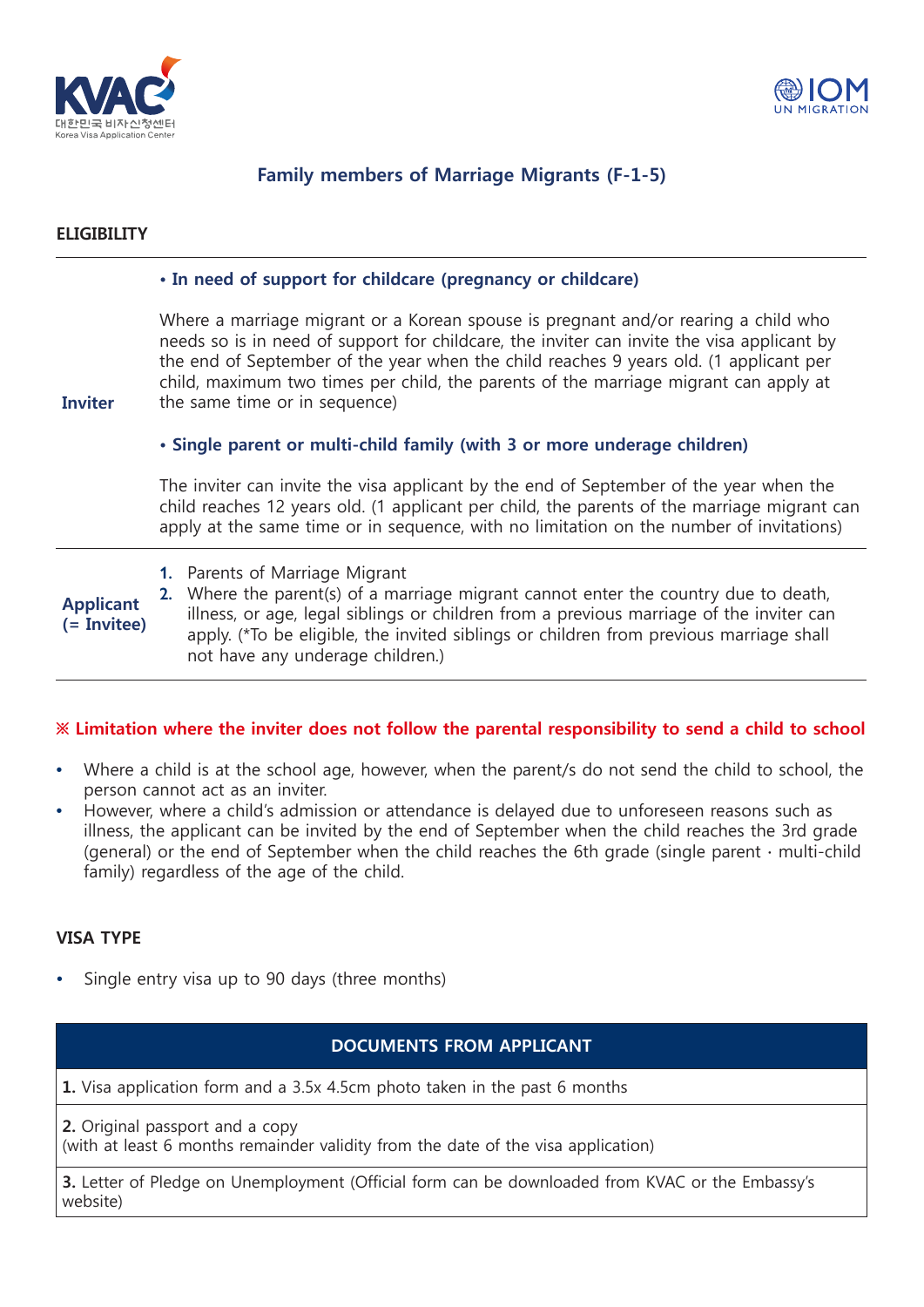



# **Family members of Marriage Migrants (F-1-5)**

## **ELIGIBILITY**

### **• In need of support for childcare (pregnancy or childcare)**

Where a marriage migrant or a Korean spouse is pregnant and/or rearing a child who needs so is in need of support for childcare, the inviter can invite the visa applicant by the end of September of the year when the child reaches 9 years old. (1 applicant per child, maximum two times per child, the parents of the marriage migrant can apply at the same time or in sequence)

**Inviter**

### **• Single parent or multi-child family (with 3 or more underage children)**

The inviter can invite the visa applicant by the end of September of the year when the child reaches 12 years old. (1 applicant per child, the parents of the marriage migrant can apply at the same time or in sequence, with no limitation on the number of invitations)

- **Applicant (= Invitee)**
- **1.** Parents of Marriage Migrant

**2.** Where the parent(s) of a marriage migrant cannot enter the country due to death, illness, or age, legal siblings or children from a previous marriage of the inviter can apply. (\*To be eligible, the invited siblings or children from previous marriage shall not have any underage children.)

### **※ Limitation where the inviter does not follow the parental responsibility to send a child to school**

- **•** Where a child is at the school age, however, when the parent/s do not send the child to school, the person cannot act as an inviter.
- **•** However, where a child's admission or attendance is delayed due to unforeseen reasons such as illness, the applicant can be invited by the end of September when the child reaches the 3rd grade (general) or the end of September when the child reaches the 6th grade (single parent ∙ multi-child family) regardless of the age of the child.

### **VISA TYPE**

**•** Single entry visa up to 90 days (three months)

### **DOCUMENTS FROM APPLICANT**

**1.** Visa application form and a 3.5x 4.5cm photo taken in the past 6 months

**2.** Original passport and a copy

(with at least 6 months remainder validity from the date of the visa application)

**3.** Letter of Pledge on Unemployment (Official form can be downloaded from KVAC or the Embassy's website)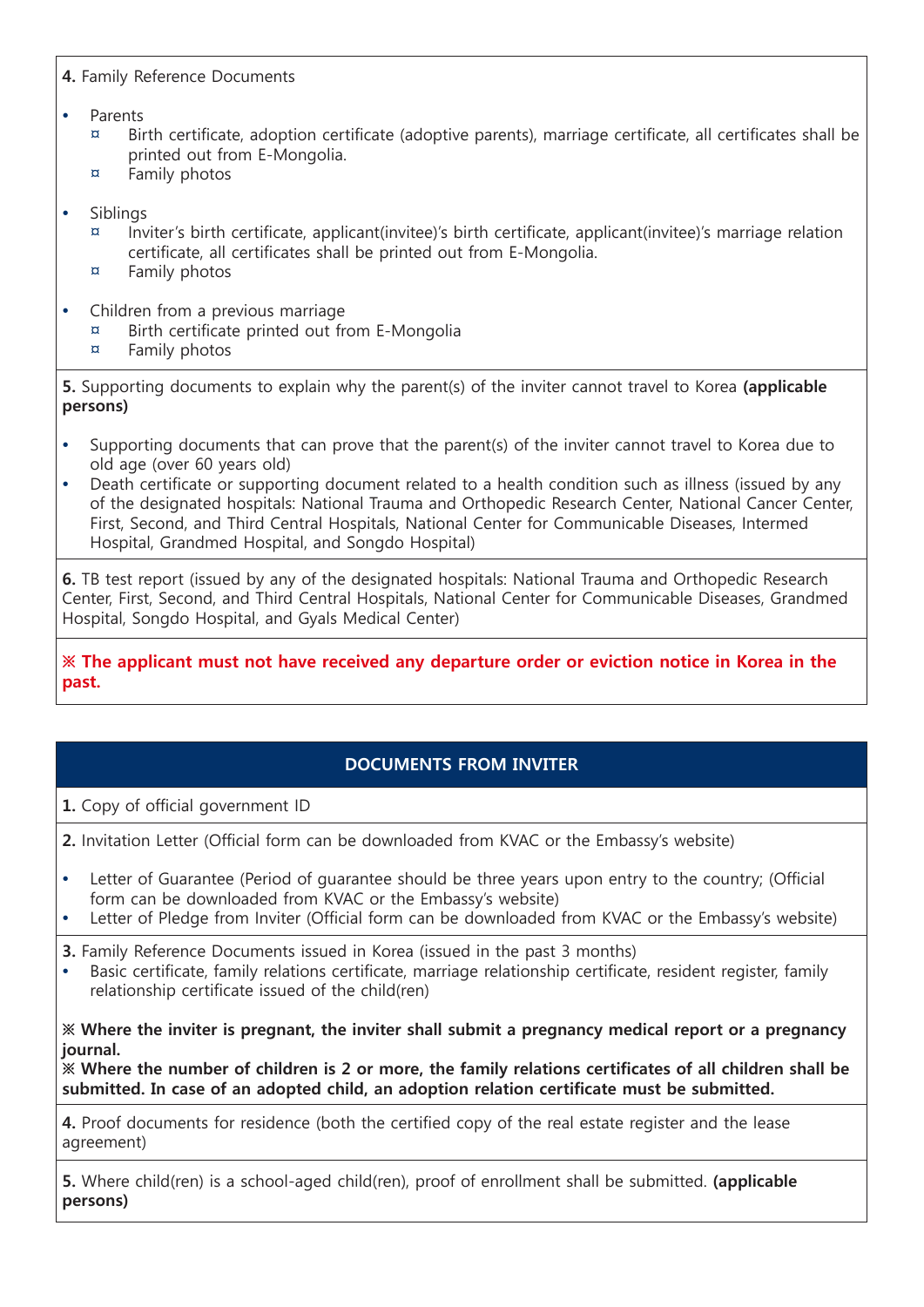# **4.** Family Reference Documents

## **•** Parents

- $\mu$  Birth certificate, adoption certificate (adoptive parents), marriage certificate, all certificates shall be printed out from E-Mongolia.
- ¤ Family photos
- **•** Siblings
	- $\alpha$  Inviter's birth certificate, applicant(invitee)'s birth certificate, applicant(invitee)'s marriage relation certificate, all certificates shall be printed out from E-Mongolia.
	- ¤ Family photos
- **•** Children from a previous marriage
	- ¤ Birth certificate printed out from E-Mongolia
	- ¤ Family photos

**5.** Supporting documents to explain why the parent(s) of the inviter cannot travel to Korea **(applicable persons)**

- **•** Supporting documents that can prove that the parent(s) of the inviter cannot travel to Korea due to old age (over 60 years old)
- **•** Death certificate or supporting document related to a health condition such as illness (issued by any of the designated hospitals: National Trauma and Orthopedic Research Center, National Cancer Center, First, Second, and Third Central Hospitals, National Center for Communicable Diseases, Intermed Hospital, Grandmed Hospital, and Songdo Hospital)

**6.** TB test report (issued by any of the designated hospitals: National Trauma and Orthopedic Research Center, First, Second, and Third Central Hospitals, National Center for Communicable Diseases, Grandmed Hospital, Songdo Hospital, and Gyals Medical Center)

**※ The applicant must not have received any departure order or eviction notice in Korea in the past.**

# **DOCUMENTS FROM INVITER**

**1.** Copy of official government ID

**2.** Invitation Letter (Official form can be downloaded from KVAC or the Embassy's website)

- **•** Letter of Guarantee (Period of guarantee should be three years upon entry to the country; (Official form can be downloaded from KVAC or the Embassy's website)
- **•** Letter of Pledge from Inviter (Official form can be downloaded from KVAC or the Embassy's website)
- **3.** Family Reference Documents issued in Korea (issued in the past 3 months)
- **•** Basic certificate, family relations certificate, marriage relationship certificate, resident register, family relationship certificate issued of the child(ren)

**※ Where the inviter is pregnant, the inviter shall submit a pregnancy medical report or a pregnancy journal.**

**※ Where the number of children is 2 or more, the family relations certificates of all children shall be submitted. In case of an adopted child, an adoption relation certificate must be submitted.**

**4.** Proof documents for residence (both the certified copy of the real estate register and the lease agreement)

**5.** Where child(ren) is a school-aged child(ren), proof of enrollment shall be submitted. **(applicable persons)**